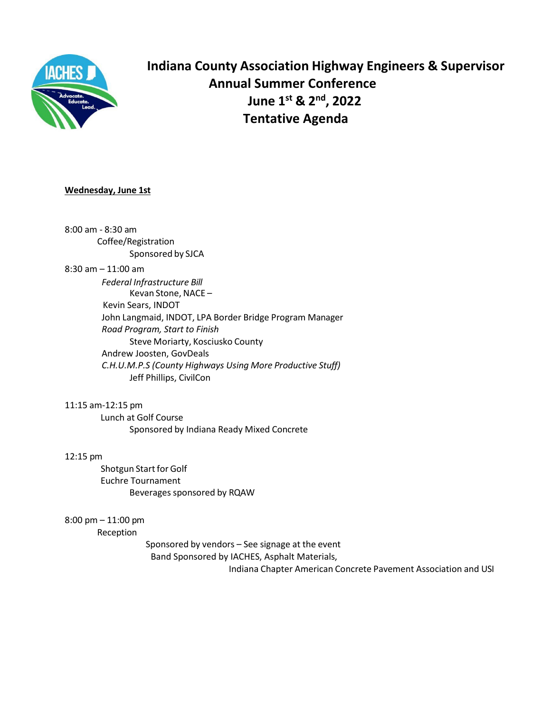

**Indiana County Association Highway Engineers & Supervisor Annual Summer Conference June 1st & 2nd , 2022 Tentative Agenda**

# **Wednesday, June 1st**

8:00 am - 8:30 am Coffee/Registration Sponsored by SJCA 8:30 am – 11:00 am *Federal Infrastructure Bill* Kevan Stone, NACE – Kevin Sears, INDOT John Langmaid, INDOT, LPA Border Bridge Program Manager *Road Program, Start to Finish* Steve Moriarty, Kosciusko County Andrew Joosten, GovDeals *C.H.U.M.P.S (County Highways Using More Productive Stuff)* Jeff Phillips, CivilCon

11:15 am-12:15 pm Lunch at Golf Course Sponsored by Indiana Ready Mixed Concrete

#### 12:15 pm

Shotgun Start for Golf Euchre Tournament Beverages sponsored by RQAW

8:00 pm – 11:00 pm

Reception

Sponsored by vendors – See signage at the event Band Sponsored by IACHES, Asphalt Materials, Indiana Chapter American Concrete Pavement Association and USI